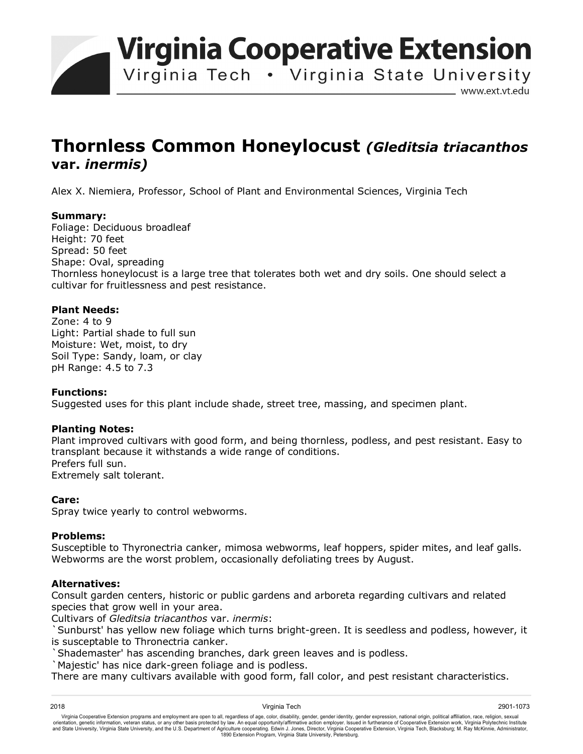**Virginia Cooperative Extension** 

Virginia Tech . Virginia State University

www.ext.vt.edu

# **Thornless Common Honeylocust** *(Gleditsia triacanthos*  **var.** *inermis)*

Alex X. Niemiera, Professor, School of Plant and Environmental Sciences, Virginia Tech

## **Summary:**

Foliage: Deciduous broadleaf Height: 70 feet Spread: 50 feet Shape: Oval, spreading Thornless honeylocust is a large tree that tolerates both wet and dry soils. One should select a cultivar for fruitlessness and pest resistance.

## **Plant Needs:**

Zone: 4 to 9 Light: Partial shade to full sun Moisture: Wet, moist, to dry Soil Type: Sandy, loam, or clay pH Range: 4.5 to 7.3

### **Functions:**

Suggested uses for this plant include shade, street tree, massing, and specimen plant.

### **Planting Notes:**

Plant improved cultivars with good form, and being thornless, podless, and pest resistant. Easy to transplant because it withstands a wide range of conditions. Prefers full sun. Extremely salt tolerant.

### **Care:**

Spray twice yearly to control webworms.

### **Problems:**

Susceptible to Thyronectria canker, mimosa webworms, leaf hoppers, spider mites, and leaf galls. Webworms are the worst problem, occasionally defoliating trees by August.

### **Alternatives:**

Consult garden centers, historic or public gardens and arboreta regarding cultivars and related species that grow well in your area.

Cultivars of *Gleditsia triacanthos* var. *inermis*:

`Sunburst' has yellow new foliage which turns bright-green. It is seedless and podless, however, it is susceptable to Thronectria canker.

`Shademaster' has ascending branches, dark green leaves and is podless.

`Majestic' has nice dark-green foliage and is podless.

There are many cultivars available with good form, fall color, and pest resistant characteristics.